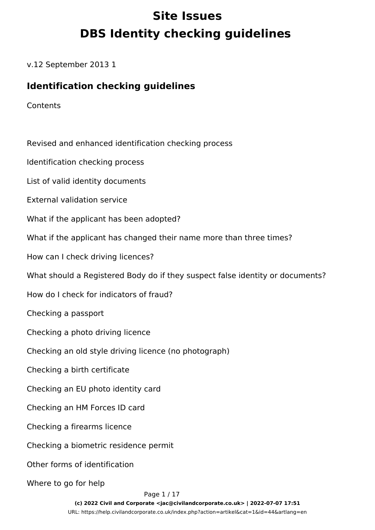# **Site Issues DBS Identity checking guidelines**

v.12 September 2013 1

#### **Identification checking guidelines**

**Contents** 

Revised and enhanced identification checking process Identification checking process List of valid identity documents External validation service What if the applicant has been adopted? What if the applicant has changed their name more than three times? How can I check driving licences? What should a Registered Body do if they suspect false identity or documents? How do I check for indicators of fraud? Checking a passport Checking a photo driving licence Checking an old style driving licence (no photograph) Checking a birth certificate Checking an EU photo identity card Checking an HM Forces ID card Checking a firearms licence Checking a biometric residence permit Other forms of identification Where to go for help Page 1 / 17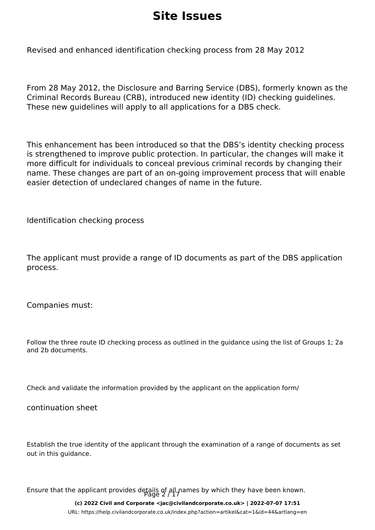Revised and enhanced identification checking process from 28 May 2012

From 28 May 2012, the Disclosure and Barring Service (DBS), formerly known as the Criminal Records Bureau (CRB), introduced new identity (ID) checking guidelines. These new guidelines will apply to all applications for a DBS check.

This enhancement has been introduced so that the DBS's identity checking process is strengthened to improve public protection. In particular, the changes will make it more difficult for individuals to conceal previous criminal records by changing their name. These changes are part of an on-going improvement process that will enable easier detection of undeclared changes of name in the future.

Identification checking process

The applicant must provide a range of ID documents as part of the DBS application process.

Companies must:

Follow the three route ID checking process as outlined in the guidance using the list of Groups 1; 2a and 2b documents.

Check and validate the information provided by the applicant on the application form/

continuation sheet

Establish the true identity of the applicant through the examination of a range of documents as set out in this guidance.

Ensure that the applicant provides details of all names by which they have been known.

**(c) 2022 Civil and Corporate <jac@civilandcorporate.co.uk> | 2022-07-07 17:51**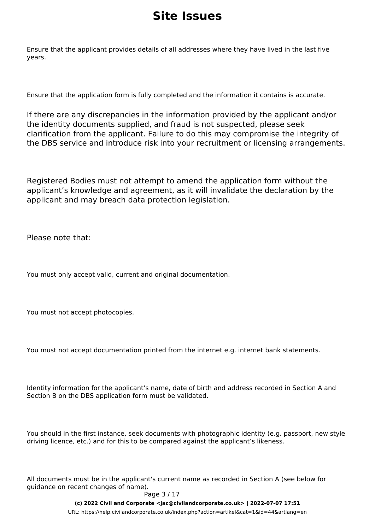Ensure that the applicant provides details of all addresses where they have lived in the last five years.

Ensure that the application form is fully completed and the information it contains is accurate.

If there are any discrepancies in the information provided by the applicant and/or the identity documents supplied, and fraud is not suspected, please seek clarification from the applicant. Failure to do this may compromise the integrity of the DBS service and introduce risk into your recruitment or licensing arrangements.

Registered Bodies must not attempt to amend the application form without the applicant's knowledge and agreement, as it will invalidate the declaration by the applicant and may breach data protection legislation.

Please note that:

You must only accept valid, current and original documentation.

You must not accept photocopies.

You must not accept documentation printed from the internet e.g. internet bank statements.

Identity information for the applicant's name, date of birth and address recorded in Section A and Section B on the DBS application form must be validated.

You should in the first instance, seek documents with photographic identity (e.g. passport, new style driving licence, etc.) and for this to be compared against the applicant's likeness.

All documents must be in the applicant's current name as recorded in Section A (see below for guidance on recent changes of name).

#### Page 3 / 17

**(c) 2022 Civil and Corporate <jac@civilandcorporate.co.uk> | 2022-07-07 17:51**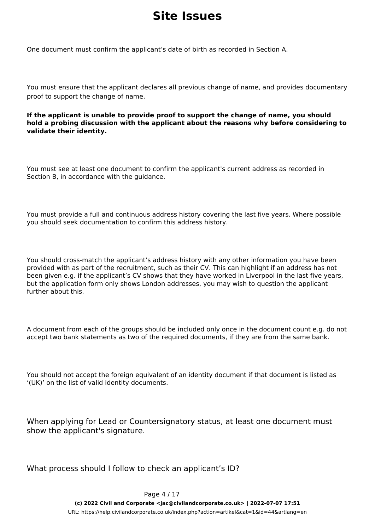One document must confirm the applicant's date of birth as recorded in Section A.

You must ensure that the applicant declares all previous change of name, and provides documentary proof to support the change of name.

**If the applicant is unable to provide proof to support the change of name, you should hold a probing discussion with the applicant about the reasons why before considering to validate their identity.** 

You must see at least one document to confirm the applicant's current address as recorded in Section B, in accordance with the guidance.

You must provide a full and continuous address history covering the last five years. Where possible you should seek documentation to confirm this address history.

You should cross-match the applicant's address history with any other information you have been provided with as part of the recruitment, such as their CV. This can highlight if an address has not been given e.g. if the applicant's CV shows that they have worked in Liverpool in the last five years, but the application form only shows London addresses, you may wish to question the applicant further about this.

A document from each of the groups should be included only once in the document count e.g. do not accept two bank statements as two of the required documents, if they are from the same bank.

You should not accept the foreign equivalent of an identity document if that document is listed as '(UK)' on the list of valid identity documents.

When applying for Lead or Countersignatory status, at least one document must show the applicant's signature.

What process should I follow to check an applicant's ID?

Page 4 / 17

**(c) 2022 Civil and Corporate <jac@civilandcorporate.co.uk> | 2022-07-07 17:51**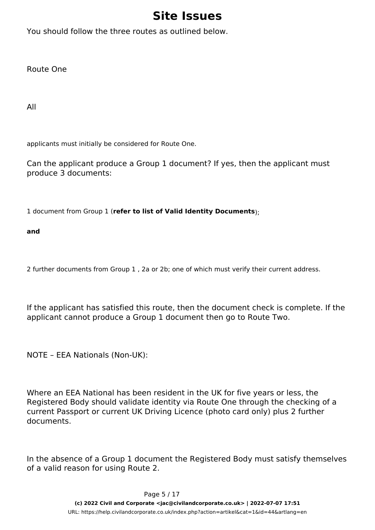You should follow the three routes as outlined below.

Route One

All

applicants must initially be considered for Route One.

Can the applicant produce a Group 1 document? If yes, then the applicant must produce 3 documents:

1 document from Group 1 (**refer to list of Valid Identity Documents**);

**and** 

2 further documents from Group 1 , 2a or 2b; one of which must verify their current address.

If the applicant has satisfied this route, then the document check is complete. If the applicant cannot produce a Group 1 document then go to Route Two.

NOTE – EEA Nationals (Non-UK):

Where an EEA National has been resident in the UK for five years or less, the Registered Body should validate identity via Route One through the checking of a current Passport or current UK Driving Licence (photo card only) plus 2 further documents.

In the absence of a Group 1 document the Registered Body must satisfy themselves of a valid reason for using Route 2.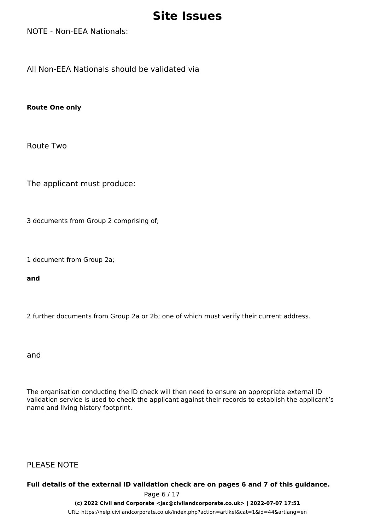NOTE - Non-EEA Nationals:

All Non-EEA Nationals should be validated via

**Route One only**

Route Two

The applicant must produce:

3 documents from Group 2 comprising of;

1 document from Group 2a;

**and** 

2 further documents from Group 2a or 2b; one of which must verify their current address.

and

The organisation conducting the ID check will then need to ensure an appropriate external ID validation service is used to check the applicant against their records to establish the applicant's name and living history footprint.

PLEASE NOTE

#### **Full details of the external ID validation check are on pages 6 and 7 of this guidance.**

Page 6 / 17

**(c) 2022 Civil and Corporate <jac@civilandcorporate.co.uk> | 2022-07-07 17:51**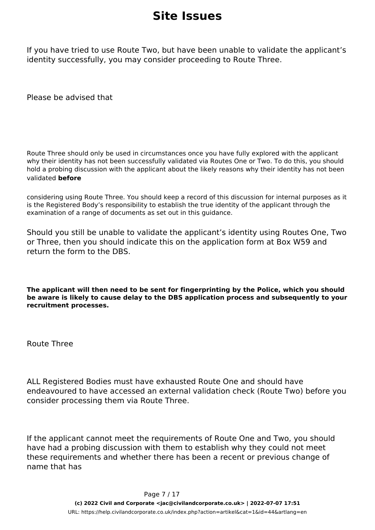If you have tried to use Route Two, but have been unable to validate the applicant's identity successfully, you may consider proceeding to Route Three.

Please be advised that

Route Three should only be used in circumstances once you have fully explored with the applicant why their identity has not been successfully validated via Routes One or Two. To do this, you should hold a probing discussion with the applicant about the likely reasons why their identity has not been validated **before** 

considering using Route Three. You should keep a record of this discussion for internal purposes as it is the Registered Body's responsibility to establish the true identity of the applicant through the examination of a range of documents as set out in this guidance.

Should you still be unable to validate the applicant's identity using Routes One, Two or Three, then you should indicate this on the application form at Box W59 and return the form to the DBS.

**The applicant will then need to be sent for fingerprinting by the Police, which you should be aware is likely to cause delay to the DBS application process and subsequently to your recruitment processes.** 

Route Three

ALL Registered Bodies must have exhausted Route One and should have endeavoured to have accessed an external validation check (Route Two) before you consider processing them via Route Three.

If the applicant cannot meet the requirements of Route One and Two, you should have had a probing discussion with them to establish why they could not meet these requirements and whether there has been a recent or previous change of name that has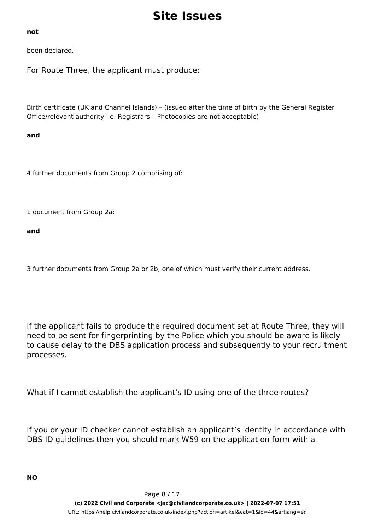#### **not**

been declared.

For Route Three, the applicant must produce:

Birth certificate (UK and Channel Islands) – (issued after the time of birth by the General Register Office/relevant authority i.e. Registrars – Photocopies are not acceptable)

#### **and**

4 further documents from Group 2 comprising of:

1 document from Group 2a;

**and** 

3 further documents from Group 2a or 2b; one of which must verify their current address.

If the applicant fails to produce the required document set at Route Three, they will need to be sent for fingerprinting by the Police which you should be aware is likely to cause delay to the DBS application process and subsequently to your recruitment processes.

What if I cannot establish the applicant's ID using one of the three routes?

If you or your ID checker cannot establish an applicant's identity in accordance with DBS ID guidelines then you should mark W59 on the application form with a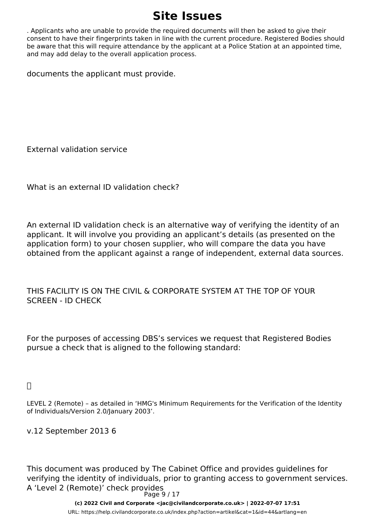. Applicants who are unable to provide the required documents will then be asked to give their consent to have their fingerprints taken in line with the current procedure. Registered Bodies should be aware that this will require attendance by the applicant at a Police Station at an appointed time, and may add delay to the overall application process.

documents the applicant must provide.

External validation service

What is an external ID validation check?

An external ID validation check is an alternative way of verifying the identity of an applicant. It will involve you providing an applicant's details (as presented on the application form) to your chosen supplier, who will compare the data you have obtained from the applicant against a range of independent, external data sources.

THIS FACILITY IS ON THE CIVIL & CORPORATE SYSTEM AT THE TOP OF YOUR SCREEN - ID CHECK

For the purposes of accessing DBS's services we request that Registered Bodies pursue a check that is aligned to the following standard:

#### $\Box$

LEVEL 2 (Remote) – as detailed in 'HMG's Minimum Requirements for the Verification of the Identity of Individuals/Version 2.0/January 2003'.

v.12 September 2013 6

This document was produced by The Cabinet Office and provides guidelines for verifying the identity of individuals, prior to granting access to government services. A 'Level 2 (Remote)' check provides Page 9 / 17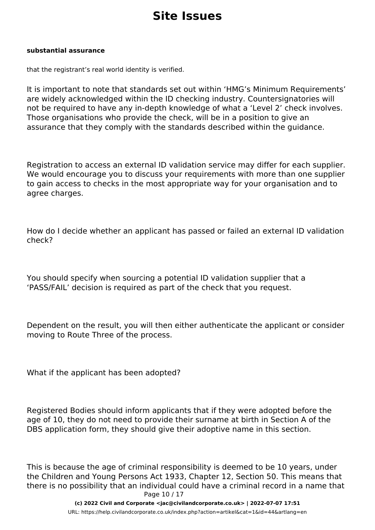#### **substantial assurance**

that the registrant's real world identity is verified.

It is important to note that standards set out within 'HMG's Minimum Requirements' are widely acknowledged within the ID checking industry. Countersignatories will not be required to have any in-depth knowledge of what a 'Level 2' check involves. Those organisations who provide the check, will be in a position to give an assurance that they comply with the standards described within the guidance.

Registration to access an external ID validation service may differ for each supplier. We would encourage you to discuss your requirements with more than one supplier to gain access to checks in the most appropriate way for your organisation and to agree charges.

How do I decide whether an applicant has passed or failed an external ID validation check?

You should specify when sourcing a potential ID validation supplier that a 'PASS/FAIL' decision is required as part of the check that you request.

Dependent on the result, you will then either authenticate the applicant or consider moving to Route Three of the process.

What if the applicant has been adopted?

Registered Bodies should inform applicants that if they were adopted before the age of 10, they do not need to provide their surname at birth in Section A of the DBS application form, they should give their adoptive name in this section.

This is because the age of criminal responsibility is deemed to be 10 years, under the Children and Young Persons Act 1933, Chapter 12, Section 50. This means that there is no possibility that an individual could have a criminal record in a name that Page 10 / 17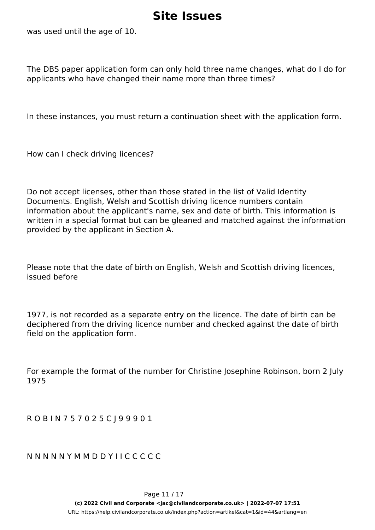was used until the age of 10.

The DBS paper application form can only hold three name changes, what do I do for applicants who have changed their name more than three times?

In these instances, you must return a continuation sheet with the application form.

How can I check driving licences?

Do not accept licenses, other than those stated in the list of Valid Identity Documents. English, Welsh and Scottish driving licence numbers contain information about the applicant's name, sex and date of birth. This information is written in a special format but can be gleaned and matched against the information provided by the applicant in Section A.

Please note that the date of birth on English, Welsh and Scottish driving licences, issued before

1977, is not recorded as a separate entry on the licence. The date of birth can be deciphered from the driving licence number and checked against the date of birth field on the application form.

For example the format of the number for Christine Josephine Robinson, born 2 July 1975

R O B I N 7 5 7 0 2 5 C J 9 9 9 0 1

N N N N N Y M M D D Y I I C C C C C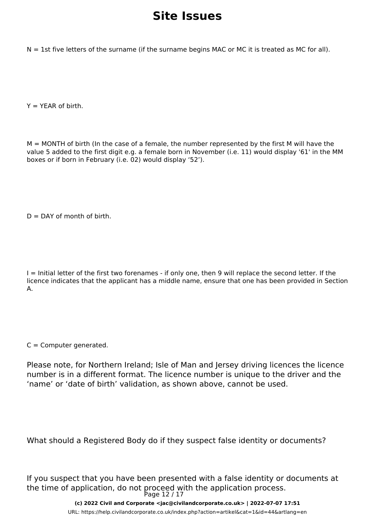$N = 1$ st five letters of the surname (if the surname begins MAC or MC it is treated as MC for all).

 $Y = YEAR$  of birth.

M = MONTH of birth (In the case of a female, the number represented by the first M will have the value 5 added to the first digit e.g. a female born in November (i.e. 11) would display '61' in the MM boxes or if born in February (i.e. 02) would display '52').

 $D =$  DAY of month of birth.

I = Initial letter of the first two forenames - if only one, then 9 will replace the second letter. If the licence indicates that the applicant has a middle name, ensure that one has been provided in Section A.

 $C =$  Computer generated.

Please note, for Northern Ireland; Isle of Man and Jersey driving licences the licence number is in a different format. The licence number is unique to the driver and the 'name' or 'date of birth' validation, as shown above, cannot be used.

What should a Registered Body do if they suspect false identity or documents?

If you suspect that you have been presented with a false identity or documents at the time of application, do not proceed with the application process. Page 12 / 17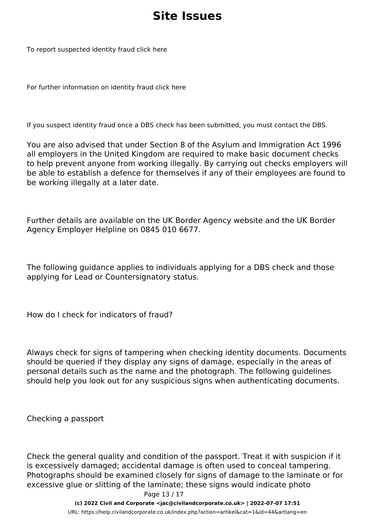To report suspected identity fraud click here

For further information on identity fraud click here

If you suspect identity fraud once a DBS check has been submitted, you must contact the DBS.

You are also advised that under Section 8 of the Asylum and Immigration Act 1996 all employers in the United Kingdom are required to make basic document checks to help prevent anyone from working illegally. By carrying out checks employers will be able to establish a defence for themselves if any of their employees are found to be working illegally at a later date.

Further details are available on the UK Border Agency website and the UK Border Agency Employer Helpline on 0845 010 6677.

The following guidance applies to individuals applying for a DBS check and those applying for Lead or Countersignatory status.

How do I check for indicators of fraud?

Always check for signs of tampering when checking identity documents. Documents should be queried if they display any signs of damage, especially in the areas of personal details such as the name and the photograph. The following guidelines should help you look out for any suspicious signs when authenticating documents.

Checking a passport

Check the general quality and condition of the passport. Treat it with suspicion if it is excessively damaged; accidental damage is often used to conceal tampering. Photographs should be examined closely for signs of damage to the laminate or for excessive glue or slitting of the laminate; these signs would indicate photo Page 13 / 17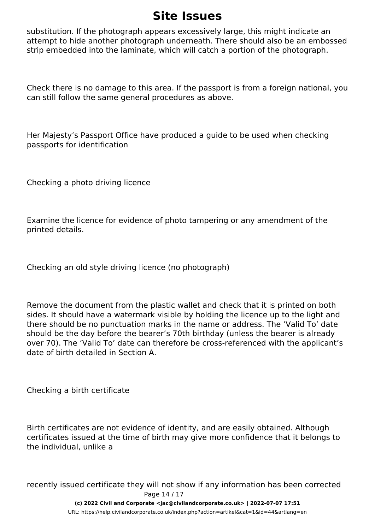substitution. If the photograph appears excessively large, this might indicate an attempt to hide another photograph underneath. There should also be an embossed strip embedded into the laminate, which will catch a portion of the photograph.

Check there is no damage to this area. If the passport is from a foreign national, you can still follow the same general procedures as above.

Her Majesty's Passport Office have produced a guide to be used when checking passports for identification

Checking a photo driving licence

Examine the licence for evidence of photo tampering or any amendment of the printed details.

Checking an old style driving licence (no photograph)

Remove the document from the plastic wallet and check that it is printed on both sides. It should have a watermark visible by holding the licence up to the light and there should be no punctuation marks in the name or address. The 'Valid To' date should be the day before the bearer's 70th birthday (unless the bearer is already over 70). The 'Valid To' date can therefore be cross-referenced with the applicant's date of birth detailed in Section A.

Checking a birth certificate

Birth certificates are not evidence of identity, and are easily obtained. Although certificates issued at the time of birth may give more confidence that it belongs to the individual, unlike a

recently issued certificate they will not show if any information has been corrected Page 14 / 17

**(c) 2022 Civil and Corporate <jac@civilandcorporate.co.uk> | 2022-07-07 17:51**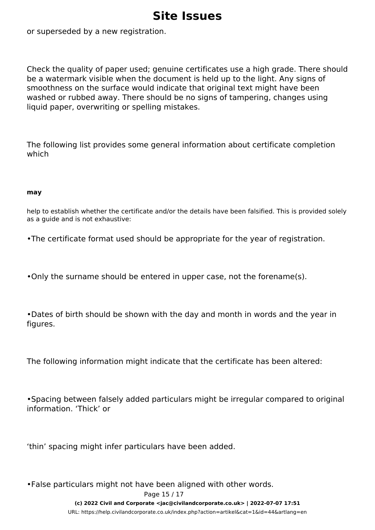or superseded by a new registration.

Check the quality of paper used; genuine certificates use a high grade. There should be a watermark visible when the document is held up to the light. Any signs of smoothness on the surface would indicate that original text might have been washed or rubbed away. There should be no signs of tampering, changes using liquid paper, overwriting or spelling mistakes.

The following list provides some general information about certificate completion which

#### **may**

help to establish whether the certificate and/or the details have been falsified. This is provided solely as a guide and is not exhaustive:

•The certificate format used should be appropriate for the year of registration.

•Only the surname should be entered in upper case, not the forename(s).

•Dates of birth should be shown with the day and month in words and the year in figures.

The following information might indicate that the certificate has been altered:

•Spacing between falsely added particulars might be irregular compared to original information. 'Thick' or

'thin' spacing might infer particulars have been added.

•False particulars might not have been aligned with other words.

Page 15 / 17

**(c) 2022 Civil and Corporate <jac@civilandcorporate.co.uk> | 2022-07-07 17:51**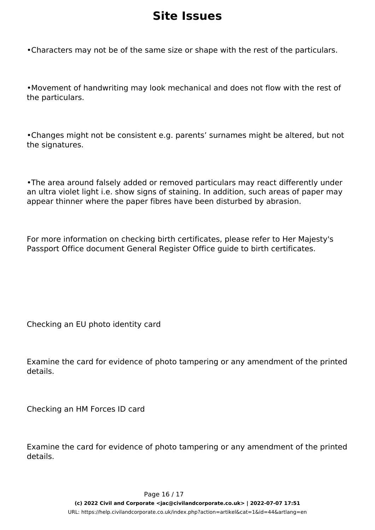•Characters may not be of the same size or shape with the rest of the particulars.

•Movement of handwriting may look mechanical and does not flow with the rest of the particulars.

•Changes might not be consistent e.g. parents' surnames might be altered, but not the signatures.

•The area around falsely added or removed particulars may react differently under an ultra violet light i.e. show signs of staining. In addition, such areas of paper may appear thinner where the paper fibres have been disturbed by abrasion.

For more information on checking birth certificates, please refer to Her Majesty's Passport Office document General Register Office guide to birth certificates.

Checking an EU photo identity card

Examine the card for evidence of photo tampering or any amendment of the printed details.

Checking an HM Forces ID card

Examine the card for evidence of photo tampering or any amendment of the printed details.